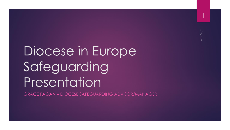# Diocese in Europe Safeguarding Presentation

**GRACE FAGAN - DIOCESE SAFEGUARDING ADVISOR/MANAGER** 

2/11/2020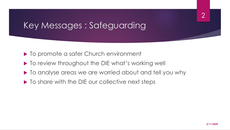#### 2

## Key Messages : Safeguarding

- ▶ To promote a safer Church environment
- ▶ To review throughout the DIE what's working well
- $\blacktriangleright$  To analyse areas we are worried about and tell you why
- $\blacktriangleright$  To share with the DIE our collective next steps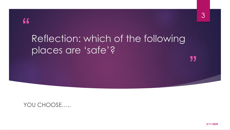# Reflection: which of the following places are 'safe'?



"

2/11/2020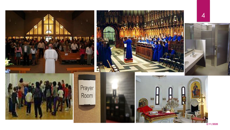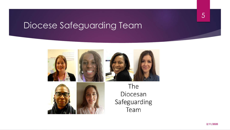## Diocese Safeguarding Team





The Diocesan Safeguarding Team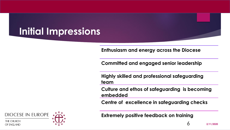# **Initial Impressions**

**Enthusiasm and energy across the Diocese** 

**Committed and engaged senior leadership**

**Highly skilled and professional safeguarding team**

**Culture and ethos of safeguarding is becoming embedded**

**Centre of excellence in safeguarding checks**

**Extremely positive feedback on training**

6 **2/11/2020**

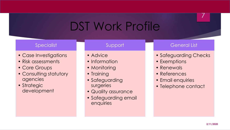# DST Work Profile

#### Specialist

- Case Investigations
- Risk assessments
- Core Groups
- Consulting statutory agencies
- Strategic development

#### Support

- Advice
- Information
- Monitoring
- Training
- Safeguarding surgeries
- Quality assurance
- Safeguarding email enquiries

#### General List

- Safeguarding Checks
- Exemptions
- Renewals
- References
- Email enquiries
- Telephone contact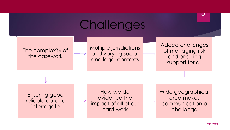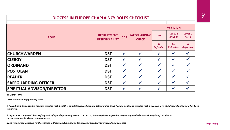| <b>DIOCESE IN EUROPE CHAPLAINCY ROLES CHECKLIST</b> |                                             |              |                                     |                        |                                    |                                    |  |  |
|-----------------------------------------------------|---------------------------------------------|--------------|-------------------------------------|------------------------|------------------------------------|------------------------------------|--|--|
|                                                     |                                             |              |                                     |                        |                                    |                                    |  |  |
| <b>ROLE</b>                                         | <b>RECRUITMENT</b><br><b>RESPONSIBILITY</b> | <b>CDF</b>   | <b>SAFEGUARDING</b><br><b>CHECK</b> | <b>TRAINING</b>        |                                    |                                    |  |  |
|                                                     |                                             |              |                                     | CO                     | LEVEL 2<br>(Part 1)                | <b>LEVEL 2</b><br>(Part 2)         |  |  |
|                                                     |                                             |              |                                     | C1<br><b>Refresher</b> | C <sub>5</sub><br><b>Refresher</b> | C <sub>5</sub><br><b>Refresher</b> |  |  |
| <b>CHURCHWARDEN</b>                                 | <b>DST</b>                                  | $\checkmark$ | $\checkmark$                        | $\checkmark$           | $\checkmark$                       |                                    |  |  |
| <b>CLERGY</b>                                       | <b>DST</b>                                  | $\checkmark$ | $\checkmark$                        | $\checkmark$           | $\checkmark$                       | $\sqrt{}$                          |  |  |
| <b>ORDINAND</b>                                     | <b>DST</b>                                  | $\checkmark$ | $\checkmark$                        | $\checkmark$           | $\checkmark$                       | $\checkmark$                       |  |  |
| <b>POSTULANT</b>                                    | <b>DST</b>                                  | $\checkmark$ | $\checkmark$                        | $\checkmark$           | $\checkmark$                       |                                    |  |  |
| <b>READER</b>                                       | <b>DST</b>                                  | $\checkmark$ | $\checkmark$                        | $\checkmark$           | $\checkmark$                       |                                    |  |  |
| <b>SAFEGUARDING OFFICER</b>                         | <b>DST</b>                                  | $\checkmark$ | $\checkmark$                        | $\checkmark$           | $\checkmark$                       |                                    |  |  |
| <b>SPIRITUAL ADVISOR/DIRECTOR</b>                   | <b>DST</b>                                  | $\checkmark$ |                                     |                        |                                    |                                    |  |  |

**INFORMATION:**

*i. DST = Diocesan Safeguarding Team*

*ii. Recruitment Responsibility includes ensuring that the CDF is completed, identifying any Safeguarding Check Requirements and ensuring that the correct level of Safeguarding Training has been completed.*

iii. If you have completed Church of England Safeguarding Training Levels CO, C1 or C2, these may be transferrable, so please provide the DST with copies of certificates: *europe.safeguarding@churchofengland.org*

*iv. C0 Training is mandatory for those ticked in this list, but is available for anyone interested in Safeguarding awareness.*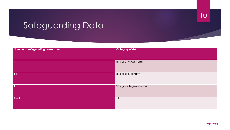#### 10

# Safeguarding Data

| Number of safeguarding cases open | <b>Category of risk</b> |  |
|-----------------------------------|-------------------------|--|
|                                   |                         |  |
| $\vert 4 \vert$                   | Risk of physical harm   |  |
| 14                                | Risk of sexual harm     |  |
|                                   | Safeguarding misconduct |  |
| Total                             | 19                      |  |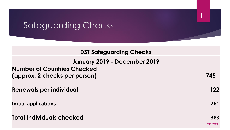# Safeguarding Checks

| <b>DST Safeguarding Checks</b>                                      |           |
|---------------------------------------------------------------------|-----------|
| January 2019 - December 2019                                        |           |
| <b>Number of Countries Checked</b><br>(approx. 2 checks per person) | 745       |
| Renewals per individual                                             | 122       |
| <b>Initial applications</b>                                         | 261       |
| <b>Total Individuals checked</b>                                    | 383       |
|                                                                     | 2/11/2020 |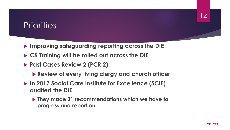## **Priorities**

- **Improving safeguarding reporting across the DIE**
- **C5 Training will be rolled out across the DIE**
- **Past Cases Review 2 (PCR 2)**
	- **Review of every living clergy and church officer**
- ▶ In 2017 Social Care Institute for Excellence (SCIE) **audited the DIE**
	- **They made 31 recommendations which we have to progress and report on**